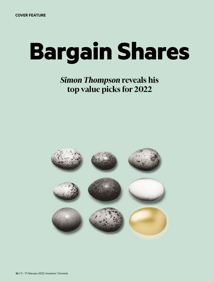# **Bargain Shares**

# *Simon Thompson* **reveals his** top value picks for 2022

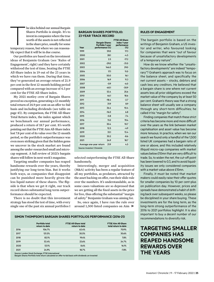The component of the component of the component of the component of the component of the component of the component of the component of the component of the component of the component of the component of the component of t heidea behind our annual Bargain Shares Portfolio is simple. It's to investin companieswhere the true worth of the assets is not reflected in the share price, usually for some temporary reason, but where we can reasonably expect that it will be in due course.

Our portfolios are based on the investment ideas of Benjamin Graham (see 'Rules of Engagement', right) and they have certainly withstood the test of time, beating the FTSE All-Share index in 19 out of the 23 years in which we have run them. During that time, they've generated an average return of 21.9 per cent in the first 12-month holding period compared with an average increase of 4.5 per cent for the FTSE All-Share index.

My 2021 motley crew of Bargain Shares proved no exception, generating a 12-monthly total return of 24.9 per cent on an offer-to-bid basis and including dividends (see table on page 43). By comparison, the FTSE All-Share Total Return index, the index against which we benchmark our annual performance, produced a return of 18.7 per cent. It's worth pointing out that the FTSE Aim All-Share index lost 7.8 per cent of its value over the 12-month period, so the portfolio's outperformance was even more striking given that the hidden gems we uncover in the stock market are found among the under-researched small and microcap segment. A full review of 2021's bargain shareswill follow in nextweek's magazine.

Targeting smaller companies has reaped handsome rewards over the years, thereby justifying our long-term bias. But it works both ways, as companies that disappoint can be punished more heavily given the less liquid nature of these shares. The flipside is that when we get it right, our track record shows substantial long-term outperformance should be expected.

There is no doubt that this investment strategy has stood the test of time, with every single one of the past six annual portfolios I

# **BARGAIN SHARES PORTFOLIO: 23-YEAR TRACK RECORD**

| Year                                                    | <b>Bargain Shares</b><br>Portfolio 1-year<br>performance (%) | <b>FTSE All-Share</b><br>index 1-vear<br>performance<br>$(\%)$ |
|---------------------------------------------------------|--------------------------------------------------------------|----------------------------------------------------------------|
| 1999                                                    | 59.0                                                         | 17.3                                                           |
| 2000                                                    | 28.1                                                         | $-4.5$                                                         |
| 2001                                                    | 2.5                                                          | $-17.2$                                                        |
| 2002                                                    | $-29.0$                                                      | $-31.0$                                                        |
| 2003                                                    | 146.0                                                        | 29.0                                                           |
| 2004                                                    | 17.1                                                         | 11.0                                                           |
| 2005                                                    | 50.0                                                         | 16.1                                                           |
| 2006                                                    | 16.9                                                         | 11.3                                                           |
| 2007                                                    | $-0.9$                                                       | $-6.0$                                                         |
| 2008                                                    | $-60.1$                                                      | $-30.9$                                                        |
| 2009                                                    | 53.4                                                         | 25.6                                                           |
| 2010                                                    | 46.1                                                         | 18.6                                                           |
| 2011                                                    | $-18.4$                                                      | $-2.7$                                                         |
| 2012                                                    | 31.9                                                         | 8.9                                                            |
| 2013                                                    | 36.4                                                         | 10.4                                                           |
| 2014                                                    | $-16.0$                                                      | 6.8                                                            |
| 2015                                                    | $-0.8$                                                       | $-7.4$                                                         |
| 2016                                                    | 11.0                                                         | 19.4                                                           |
| 2017                                                    | 30.4                                                         | 10.7                                                           |
| 2018                                                    | 12.5                                                         | $-4.9$                                                         |
| 2019                                                    | 33.1                                                         | 13.4                                                           |
| 2020                                                    | 30.2                                                         | $-8.6$                                                         |
| 2021                                                    | 24.9                                                         | 18.7                                                           |
| Average one-year return<br>Source: Investors' Chronicle | 21.9                                                         | 4.5                                                            |

selected outperforming the FTSE All-Share handsomely.

Interestingly, merger and acquisition (M&A) activity has been a regular feature of all my portfolios, as predators, attracted by the asset backing on offer, run their slide rule over the numbers. It's understandable, as in some cases valuations are so depressed that we are getting all the fixed assets in the price for free, thus offering the substantial "margin of safety" Benjamin Graham was aiming for.

So, once again, I have run the rule over around 1,500 listed companies on Aim

### **SIMON THOMPSON'S BARGAIN SHARES PORTFOLIOS PERFORMANCE (2016-21)**

|      | Portfolio total<br>return to date | <b>FTSE All-Share total</b><br>return to date | <b>FTSE Aim All-Share</b><br>total return to date |
|------|-----------------------------------|-----------------------------------------------|---------------------------------------------------|
| 2016 | 106.7%                            | 63.4%                                         | 70.9%                                             |
| 2017 | 121.5%                            | 30.5%                                         | 30.6%                                             |
| 2018 | 82.1%                             | 19.4%                                         | 7.8%                                              |
| 2019 | 53.4%                             | 23.6%                                         | 24.7%                                             |
| 2020 | 53.1%                             | 8.6%                                          | 16.1%                                             |
| 2021 | 24.9%                             | 18.7%                                         | $-7.8%$                                           |

Source: London Stock Exchange, FTSE International Bargain Shares Portfolio total return calculated on offer-to-bid basis with dividends un-invested

# **RULES OF ENGAGEMENT**

The bargain portfolio is based on the writings of Benjamin Graham, a US investor and writer, who favoured looking for companies that were "out of favour because of unsatisfactory developments of a temporary nature".

How do we know whether the "unsatisfactory developments" are indeed "temporary"? Graham's approach was to focus on the balance sheet, and specifically the net current assets – stocks, debtors and cash less any creditors. He believed that a bargain share is one where net current assets less all prior obligations exceed the market value of the company by at least 50 per cent. Graham's theory was that a strong balance sheet will usually see a company through any short-term difficulties; he called it his "margin for safety".

Finding companies that match these strict criteria has become more and more difficult over the years as the link between market capitalisation and asset value has become more tenuous. In practice, when we ran our search we found only a handful of the 1,500 listed UK companies had a bargain ratio of one or above, and this included relatively illiquid micro-cap companies with market values below £10mn that are very difficult to trade. So, to widen the net, the cut-off point has been lowered to 0.3, and to avoid liquidity issues we only considered companies with a market value above £15mn.

Finally, it must be noted that market makers could easily raise their offer quotes for smaller companies by 10 per cent-plus on publication day. However, prices and spreads have demonstrated a habit of drifting back over subsequent weeks, so please be disciplined in your share buying. These investments are for the long term, as the long-term strong outperformance of the 2016 to 2021 portfolios highlight. It is also important to buy a decent number of our recommendations to diversify risk.

# **TARGETING SMALLER COMPANIES HAS REAPED HANDSOME REWARDS OVER THE YEARS**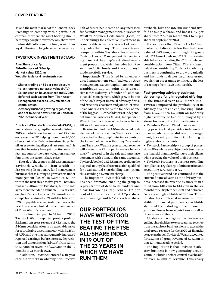and the main market of the London Stock Exchange to come up with a portfolio of companies where the asset backing should be strong enough to overcome any short-term trading difficulties and, in time, reward our loyal following of long-term value investors.

# **TAVISTOCK INVESTMENTS (TAVI)**

**Aim:** Share price: 4p **Bid-offer spread:** 3.8-4.2p **Market value:** £23.2mn **Website:** tavistockinvestments.com

- Shares trading on 53 per cent discount to last reported net asset value (NAV)
- £8.1mn cash on balance sheet and £20mn deferred cash payout from Titan Asset Management exceeds £23.2mn market capitalisation
- Advisory business growing organically and set to deliver over £3mn of Ebitda in 2021-22 financial year

Aim-traded**Tavistock Investments (TAVI)**, a financial services group that was established in 2013 and which now has more than 175 advisers across the UK helping more than 40,000 clients look after £4bn of investments, pulled off an eye-catching disposal last summer. It is one that investors have yet to cotton on to. In fact, my sum-of-the-parts valuation is almost four times the current share price.

The sale of the group's multi-asset manager, Tavistock Wealth, to Titan Wealth – a fast-growing discretionary fund management business that is aiming to grow assets under management (AUM) to £20bn to £30bn within the next three to five years – not only realised £40mn for Tavistock, but the sale agreement included a valuable 10-year earnout, too. Tavistock received £20mn of cash on completion in August 2021 with the balance of £20mn payable in equal instalments over the next three years, linked to the maintenance of Titan Wealth'srevenues.

In the financial year to 31 March 2020, Tavistock Wealth reported pre-tax profit of £2.3mn from gross revenue of £5.6mn, so the £40mn consideration is a reasonable price for a profitable asset manager with £1.15bn of AUM and one that subsequently increased reported earnings, before interest, depreciation and amortisation (Ebitda) from £3mn to £3.9mn on revenue of £5.85mn in the 12 months to 31 March 2021.

In addition, Tavistock entered a 10-year earn-out with Titan whereby it will receive half of future net income on any increased funds under management within Tavistock Wealth's Acumen Ucits funds (Ucits, or undertakings for collective investment in transferable securities, is a set of voluntary rules that many ETFs follow). A new company within Tavistock Investments, Tavistock Asset Management, is continuing to market the group's centralised investment proposition, which includes both the Acumen Ucits funds and the company's model portfolio service.

Importantly, Titan is led by an experienced management team backed by Ares Management, Maven Capital Partners and Hambleden Capital. Joint chief executive James Kaberry is founder of Pantheon Financial Management, which grew to be one of the UK's largest financial advisory firms; and executive chairman and joint chief executive Andrew Fearon is the founder of one of the biggest UK consolidators of independent financial advisers (IFAs), Independent Wealth Planners. Fearon has been active in UK wealth management, too.

Bearing in mind the £20mn deferred cash element of the transaction, Tavistock's directors noted in the group's interim accounts at the tail end of last year that they "are confident Tavistock Wealth's gross annual revenue will exceed the £6mn performance benchmark" referred to in the sale and purchase agreement with Titan. In the same accounts, Tavistock booked a £35.8mn net profit on the disposal, noting that the transaction qualified for a Substantial Shareholding Exemption, thus avoiding a  $£7$ mn tax charge.

The impact on Tavistock's balance sheet has been dramatic, enabling the group to repay £3.5mn of debt to its bankers and clear borrowings, repurchase 4.7 per cent of the share capital at 4.7p a share in an earnings and NAV-accretive share

**OUR PORTFOLIOS HAVE WITHSTOOD THE TEST OF TIME, BEATING THE FTSE ALL-SHARE INDEX IN 19 OUT OF THE 23 YEARS IN WHICH WE HAVE RUN THEM**

buyback, hike the interim dividend fivefold to 0.05p a share, and boost NAV per share from 2.59p in March 2021 to 8.6p a share in September 2021.

It also means that Tavistock's £23.2mn market capitalisation is less than half book value of £49.8mn, even though the group held £17.2mn of cash and £22.5mn of receivable balances including the £20mn deferred consideration from Titan. That's a harsh valuation considering Tavistock's advisory business is continuing to grow organically and has funds to deploy on an accelerated acquisition programme to mitigate the loss of earnings from Tavistock Wealth.

# **Fast-growing advisory business delivering a fully integrated offering**

In the financial year to 31 March 2021, Tavistock improved the profitability of its advisory business no end, boosting Ebitda from £375,000 to £2.28mn on modestly higher revenue of £23.7mn, buoyed by a strong turnaround of its three divisions:

• Tavistock Private Client – an award-winning practice that provides independent financial advice, specialist wealth management, tax saving and financial planning to higher-net-worth clients.

• Tavistock Partnership – a group of professional IFAs whose sole objective is to enhance the financial planning offering to their clients while growing the value of their business.

• Tavistock Partners – a business providing compliance, regulatory, administration and accounting services to IFAs.

The positive trend has continued into the current financial year, as the advisory business increased its revenue by more than a third from £10.7mn to £14.7mn in the six months to 30 September 2021 and delivered 56 per cent higher Ebitda of £1.5mn. This is the directors' preferred measure of profitability of financial performance as Ebitda strips out the distorting impact of one-off gains and losses from acquisitions as well as other non-cash items.

It's also worth noting that the directors are guiding shareholders to expect annual revenue from the advisory business alone to exceed the total group revenue for the 2020-21 financial year, even though Tavistock Wealth accounted for £5.9mn of group revenue of £28.7mn in that 12-month trading period.

The implication is that Tavistock's advisory business is now generating around £3mn in Ebitda (before central overheads) on over £29mn of revenue, thus easily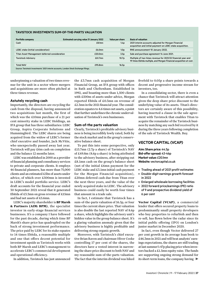# **TAVISTOCK INVESTMENTS SUM-OF-THE-PARTS VALUATION**

| Portfolio company                                                                    | Estimated carrying value 31 January 2022 | Value per share   | <b>Basis of valuation</b>                                                                                                           |
|--------------------------------------------------------------------------------------|------------------------------------------|-------------------|-------------------------------------------------------------------------------------------------------------------------------------|
| Cash                                                                                 | $£8.1$ mn                                | 1.4 <sub>p</sub>  | 2021 interim accounts adjusted for Morgan Financial<br>acquisition and initial payment on LEBC stake acquisition.                   |
| <b>LEBC stake Cinitial consideration)</b>                                            | £6.0 <sub>mn</sub>                       | 1.0 <sub>p</sub>  | RNS announcement 10 January 2022.                                                                                                   |
| Titan Asset Management deferred consideration                                        | £20.0mn                                  | 3.5 <sub>p</sub>  | Sale and purchase agreement 14 June 2021.                                                                                           |
| <b>Tavistock Advisory</b>                                                            | £61.7mn                                  | 10.7 <sub>p</sub> | Multiple of two times revenue for 2021/22 financial year and<br>19 times Ebitda multiple, and Morgan Financial acquisition at cost. |
| <b>Total NAV</b>                                                                     | £95.8mn                                  | 16.5p             |                                                                                                                                     |
| Source: Tavistock Investments' 2021 interim accounts, London Stock Exchange filings. |                                          |                   |                                                                                                                                     |

underpinning a valuation of two times revenue for the unit in a sector where mergers and acquisitions are more often pitched at three times revenue.

# **Astutely recycling cash**

Importantly, the directors are recycling the cash from the disposal, having announced two acquisitions last month, the first of which was the £10mn purchase of a 21 per cent minority stake in LEBC Holdings, an IFA group that has three subsidiaries: LEBC Group, Aspira Corporate Solutions and Hummingbird. The LEBC shares are being acquired from the widow of LEBC's former chief executive and founder, Jack McVitie, who unexpectedly passed away last year. Tavistock will pay £6m cash on completion and the balance 12 months later.

LEBC was established in 2000 as a provider of financial planning and consultancy services to private and corporate clients. It employs 46 financial planners, has more than 75,000 clients and an estimated £5bn of assets under advice, of which over £500mn is invested in LEBC's model portfolio service. LEBC's draft accounts for the financial year ended 30 September 2021 reveal that it generated Ebitda of £3.3mn on gross revenue of £15mn and had net assets of £5.6mn.

LEBC's majority shareholder is **BP Marsh & Partners (AIM: BPM)**, the specialist investor in early-stage financial services businesses. It's a company I have followed for the past decade, during which time BP Marsh's share price has quadrupled on the back of strong investment performance. The price paid by LEBC for its stake equates to 14 times Ebitda, a reasonable multiple and one that offers decent potential for investment upside as Tavistock works with both BP Marsh and LEBC's management to accelerate LEBC's commercial development and operational efficiency.

In addition, Tavistock has just announced

the £3.7mn cash acquisition of Morgan Financial Group, an IFA group with offices in Bath and Cheltenham. Established in 1992, and boasting more than 1,500 clients with £500m of assets under advice, Morgan reported Ebitda of £0.3mn on revenue of £2.3mn in the 2021 financial year. The consideration equates to 4.6 times net assets, a point that further underlinesthe chronic undervaluation of Tavistock's own businesses.

# **Sum-of-the parts valuation**

Clearly, Tavistock's profitable advisory business is being incredibly lowly rated, both by the stock market and in the group's conservative balance sheet.

To put this into some perspective, only £15.7mn (2.7p a share) of Tavistock's NAV of £49.8m (8.6p a share) is being attributed to the advisory business, after stripping out £8.1mn cash on the group's balance sheet (net of the initial £6mn payment for the LEBC stake and £3.1mn initial cash payment for the Morgan Financial acquisition), £20mn deferred cash due from Titan over the next three years, and the value of the newly acquired stake in LEBC. The advisory business could easily be worth four times that amount in a trade sale.

In fact, I estimate that Tavistock has a sum-of-the-parts valuation of 16.5p, or four times the current share price. That valuation is also double the last reported NAV of 8.6p a share, which highlights the advisory unit's hidden value in the group balance sheet. It's a glaring valuation anomaly given that the advisory business is highly profitable and delivering strong organic growth.

Moreover, with Tavistock's chief executive Brian Raven and chairman Oliver Cooke controlling 17 per cent of the shares, the directors have a vested interest in narrowing the share price discount to both NAV and my reasonable sum-of-the-parts valuation. The fact that the interim dividend was hiked

fivefold to 0.05p a share points towards a decent and progressive income stream for investors, too.

In a consolidating sector, there is even a chance that Tavistock will attract attention given the deep share price discount to the underlying value of its assets. Titan's directors are certainly aware of this possibility, having inserted a clause in the sale agreement with Tavistock that enables Titan to acquire the remainder of the Tavistock business by matching any such bid received by it during the three years following completion of the sale of Tavistock Wealth. Buy.

# **VECTOR CAPITAL (VCAP)**

**Aim: Share price:** 44.5p **Bid-offer spread:** 43-46p **Market value:** £20.1mn **Website:** vectorcapital.co.uk

- Trading ahead of 2021 profit estimates
- Double-digit earnings growth forecast in 2022
- Enlarged wholesale borrowing facilities
- 2022 forward price/earnings (PE) ratio of 9 and prospective dividend yield of 6 per cent

**Vector Capital (VCAP)**, a commercial lender that offers secured property loans to predominantly small property developers who buy properties to refurbish and then re-sell, has flown below the radar since its initial public offering (IPO) on London's junior market in December 2020.

In fact, even though Vector delivered 27 per cent growth in its average loan book to £46.3mn in 2021 and will beat analysts' earnings expectations, the shares are still trading at last summer's 47p placing price when investors backed a £1.5mn equity raise. The funds are supporting ongoing strong demand for its short-term loans, the company having  $\blacktriangleright$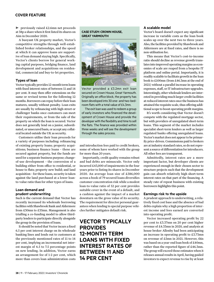# **COVER FEATURE**

previously raised £2.6mn net proceeds at 38p a sharewhen it first listed its shares on Aim in December 2020.

A buoyant UK property market, Vector's competitive strengths through well-established broker relationships, and the speed at which it can approve loans are supportive of loan demand staying high. Specifically, Vector's clients borrow for general working capital purposes, bridging finance, land development and acquisitions on residential, commercial and buy-to-let properties.

# **Types of loan**

Vector typically provides 12-month termloans with fixed interest rates of between 11 and 14 per cent. It may then offer extensions on the same or revised terms for the following 12 months. Borrowers can repay before their loan matures, usually without penalty. Loan exits are usually by refinancing with high-street or challenger banks once customers can meet their requirements, or from the sale of the property on which the loan is secured. Vector does not generally lend on a junior, subordinated, or unsecured basis, or accept any collateral located outside the UK as security.

Customers utilise their loan proceeds for a variety of purposes including: refinancing of existing property loans; property acquisitions; business finance loans – these are secured against property, but the funds are used for a separate business purpose; changeof-use development – the conversion of a building either from office to residential, or house to flats; property new build; and land acquisition - for these loans, security is taken against the land purchased at a lower loanto-value ratio than for other types of loans.

# **Loan demand and prudent underwriting**

Such is the current demand that Vector has recently increased its wholesale borrowing facilities with Shawbrook Bank and Aldermore from £30mn to £35mn. Management is also trialling a co-funding model to allow thirdparty lenders to participate directly alongside the group in the provision of loans.

It should be noted that Vector incurs a fixed 6.5 per cent interest charge on its wholesale banking lines and lends out to customers at the previously mentioned rates of 11 to 14 per cent, implying an incremental net interest margin of 4.5 to 7.5 percentage points on new lending. In addition, Vector earns an arrangement fee of 1-2 per cent, which more than covers loan administration costs

# **CASE STUDY: CROWN HOUSE, GREAT YARMOUTH**



Vector provided a £3.2mn exit loan secured on Crown House, Great Yarmouth. Originally an office block, the property has been developed into 30 one- and two-bedroom flats with a total value of £4.3mn.

The exit loan was used to redeem a group of early investors who financed the development of Crown House and provide the developer with the flexibility and time to sell the flats. The finance was provided within three weeks and will see the development through the sales process.

and introduction fees paid to credit brokers, some of whom have worked with the group for more than 20 years.

Importantly, credit quality remains robust and bad debts are minuscule. Vector only incurred £43,000 of impairments in the four years prior to listing its shares in December 2020. An average loan size of £586,000 across a book of 79 secured loans diversifies customer concentration risk while a modest loan-to-value ratio of 52 per cent provides suitable cover in the event of a default, and a cushion against the impact of a market downturn on the gross value of its security. The requirement for director personal guaranteeswhen lending to special purpose vehicles further mitigates default risk.

# **VECTOR TYPICALLY PROVIDES 12-MONTH TERM LOANS WITH FIXED INTEREST RATES OF BETWEEN 11 AND 14 PER CENT**

# **A scalable model**

Vector's board doesn't expect any significant increase in variable costs as the loan book scales up over the next two to three years. Also, the facilities provided by Shawbrook and Aldermore are at fixed rates, and there is no non-utilisation fee.

This means that Vector's cost-to-income ratio should decline as revenue growth translates into improved operating margins as economies of scale are reaped from a bespoke IT platform and online portal. Importantly, it is readily scalable to facilitate growth in the loan book to £100mn (from £46.3mn at the end of 2021) without a parallel increase in operating expenses, staff, or IT infrastructure upgrades. Interestingly, other wholesale lenders are interested in providing much larger credit facilities at reduced interest rates once the business has attained the requisite scale, thus offering additional scope to boost operating profit margins.

It's worth considering that Vector doesn't compete with the regulated mortgage sector, but with providers of unregulated short-term loans. This segment of the market includes specialist short-term lenders as well as larger regulated banks offering unregulated loans. Vector's market does not appear to be primarily price-driven. Commissions paid to brokers are at industry standard rates, so do not represent a source of differentiation for introducers. All other fees are transparent.

Admittedly, interest rates are a more important factor, but developer clients are experienced enough in their chosen sector to structure projects such that the development gain can absorb relatively high short-term interest rates on that part of the financing. A steady rate of repeat business with existing borrowers highlights this point.

# **Earnings risk to the upside**

A prudent approach to underwriting, a relatively fixed cost base and the absence of bad debts explain why a high proportion of interest income and fees earned are converted into operating profit.

Vector increased operating profit by 22 per cent to £3.37mn on 20 per cent higher revenue of £4.33mn in 2020, and analysts at house broker Allenby had been anticipating an increase in operating profit to £3.73mn on revenue of £5mn in 2021. However, this was based on a year-end loan book of £40mn, rather than the reported figure of £46.3mn. The group will exceed those estimateswhen it releases annual results in April, having guided investors to expect revenue to rise by at least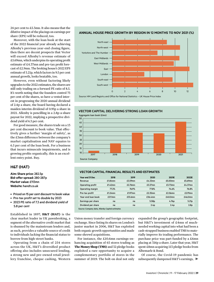24 per cent to £5.3mn. It also means that the dilutive impact of the placings on earnings per share (EPS) will be reduced, too.

Moreover, with the loan book at the start of the 2022 financial year already achieving Allenby's previous year-end closing figure, then there are decent prospects that Vector will exceed Allenby's revenue estimate of £5.69mn, which underpins its operating profit estimate of £4.37mn and pre-tax profit forecast of £2.9mn. The broking house's 2022 EPS estimate of 5.21p, which factors in 9.5 per cent annual growth, looks beatable, too.

However, even without factoring likely upgrades to the 2022 estimates, the shares are still only trading on a forward PE ratio of 8.5. It's worth noting that the founders control 75 per cent of the shares, so have a vested interest in progressing the 2020 annual dividend of 2.4p a share, the board having declared a maiden interim dividend of 0.95p a share in 2021. Allenby is pencilling in a 2.8p-a-share payout for 2022, implying a prospective dividend yield of 6.3 per cent.

For good measure, the shares trade on a 13 per cent discount to book value. That effectively gives a further 'margin of safety', as the £3mn difference between the company's market capitalisation and NAV equates to 6.5 per cent of the loan book. For a business that incurs minuscule impairments, and is growing profits organically, this is an excellent entry point. Buy.

# **H&T (HAT)**

**Aim: Share price:** 282.5p **Bid-offer spread:** 280-287p **Market value:** £113mn **Website:** handt.co.uk

- Priced on 15 per cent discount to book value
- Pre-tax profit set to double by 2023
- 2023 PE ratio of 7.3 and dividend yield of 5.8 per cent

Established in 1897, **H&T (HAT)** is the clear market leader in UK pawnbroking, a segment of the alternative credit market that is shunned by the mainstream lenders and, as such, provides a valuable source of credit to individuals lacking the financial status to borrow from high-street banks.

Operating from a chain of 254 stores across the UK, H&T's diversified product offering also includes unsecured lending, a strong new and pre-owned retail jewellery franchise, cheque cashing, Western



**ANNUAL HOUSE PRICE GROWTH BY REGION IN 12 MONTHS TO NOV 2021 (%)**



Source: HM Land Registry and Office for National Statistics – UK House Price Index

# **VECTOR CAPITAL DELIVERING STRONG LOAN GROWTH**





# **VECTOR CAPITAL FINANCIAL RESULTS AND ESTIMATES**

| Year end 31 Dec                                 | 2018       | 2019       | 2020             | 2021F            | 2022E             |  |  |  |
|-------------------------------------------------|------------|------------|------------------|------------------|-------------------|--|--|--|
| Revenue                                         | $£1.84$ mn | £3.59mn    | $£4.33$ mn       | £5.00mn          | £5.69mn           |  |  |  |
| Operating profit                                | $f1.42$ mn | £2.76mn    | £3.37mn          | $f3.73$ mn       | £4.37mn           |  |  |  |
| Operating margin                                | 77.2%      | 76.9%      | 77.8%            | 74.6%            | 76.8%             |  |  |  |
| Pre-tax profit                                  | $£1.24$ mn | $£1.97$ mn | £2.35mn          | £2.56mn          | £2.91mn           |  |  |  |
| Year-end loan book                              | $£21.1$ mn | £33.6mn    | £36.4mn          | £40.0mn          | £46.0mn           |  |  |  |
| Earnings per share                              | na         | na         | 5.58p            | 4.76p            | 5.21 <sub>p</sub> |  |  |  |
| Dividend per share                              | na         | na         | 2.4 <sub>D</sub> | 2.4 <sub>D</sub> | 2.8 <sub>p</sub>  |  |  |  |
| Source: Company data, Allenby Capital estimates |            |            |                  |                  |                   |  |  |  |

Union money transfer and foreign currency exchange. Since listing its shares on London's junior market in 2006, H&T has exploited both organic growth opportunities and made some shrewd acquisitions.

For instance, the £10.6mn earnings-enhancing acquisition of 65 stores trading as **TheMoney Shop (TMS)** and 32 pledge books exploited a rare opportunity to acquire a complementary portfolio of stores in the summer of 2019. The bolt-on deal not only expanded the group's geographic footprint, but H&T's investment of £4mn of muchneededworking capital into what had been a cash-strapped business enabledTMS to materially improve its trading performance. The purchase price was part-funded by a £6mn placing at 316p a share. Later that year, H&T spent £8mn acquiring 113 pledge books from Albemarle & Bond.

Of course, the Covid-19 pandemic has subsequently dampened H&T's earnings,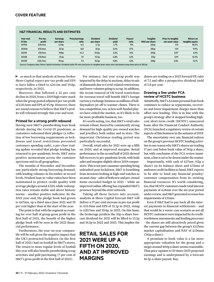# **H&T FINANCIAL RESULTS AND ESTIMATES**

| Year-end<br>31 Dec | Pre-tax<br>profit                                                                                                                                     | <b>Earnings</b><br>per share | <b>Price/earnings</b><br>ratio | <b>Dividend</b><br>per share | <b>Dividend</b><br>yield | Pavout<br>ratio | <b>Tangible</b><br>NAV per share | <b>Price to tangible</b><br>net asset value | Return on<br>tangible equity |  |
|--------------------|-------------------------------------------------------------------------------------------------------------------------------------------------------|------------------------------|--------------------------------|------------------------------|--------------------------|-----------------|----------------------------------|---------------------------------------------|------------------------------|--|
| 2019A              | $£20.1$ mn                                                                                                                                            | 43.9p                        | 6.5                            | 4.7p                         | 1.7%                     | 11%             | 250 <sub>p</sub>                 | 1.13                                        | 18.0%                        |  |
| 2020A              | £15.6mn                                                                                                                                               | 32.1 <sub>p</sub>            | 8.8                            | 8.5 <sub>D</sub>             | 3.0%                     | 27%             | 282 <sub>p</sub>                 | 1.01                                        | 11.9%                        |  |
| 2021E              | $£10.1$ mn                                                                                                                                            | 19.8 <sub>p</sub>            | 14.3                           | 10.0 <sub>D</sub>            | 3.5%                     | 51%             | 292 <sub>p</sub>                 | 0.97                                        | 6.9%                         |  |
| 2022E              | £15.9mn                                                                                                                                               | 31.1 <sub>p</sub>            | 9.1                            | 13.5 <sub>p</sub>            | 4.8%                     | 43%             | 313 <sub>p</sub>                 | 0.91                                        | 10.3%                        |  |
| 2023E              | £20.7mn                                                                                                                                               | 39.4 <sub>D</sub>            | 7.2                            | 16.5 <sub>D</sub>            | 5.8%                     | 42%             | 338 <sub>p</sub>                 | 0.84                                        | 12.1%                        |  |
|                    | Source: Company data, Shore Capital estimates. Dividend yield, PE ratio and price to tangible book value ratio calculated using share price of 283.5p |                              |                                |                              |                          |                 |                                  |                                             |                              |  |

so much so that analysts at house broker Shore Capital expect pre-tax profit and EPS to have fallen a third to £10.1m and 19.8p, respectively, in 2021.

Moreover, that followed a 22 per cent decline in 2020, from a 2019 high water mark when the group posted adjusted pre-tax profit of £20.1mn and EPS of 43.9p.However, there are sound reasons to believe that H&T's profits will rebound strongly this year and next.

# **Primed for a strong profit rebound**

Having seen H&T's pawnbroking loan book shrink during the Covid-19 pandemic as customers redeemed their pledges (a reflection of low borrowing requirements as lockdowns and travel restrictions prevented customers spending cash), a pre-close trading update revealed that pledge lending has returned to pre-pandemic levels. H&T notes positive momentum across the customer spectrum and in all geographies.

The months of November and December saw particularly strong borrowing demand, with lending volumes in December at record levels. Prudent loan-to-value ratios have been maintained to protect credit quality with average pledges around £320, while redemption rates remain stable and above historic norms – another positive indicator. By the 2021 year-end, the pledge book had grown to £67mn, up a third since June 2021 and 39 per cent higher than at the start of the year.

The point is that with the segment accounting for over half of group gross profit in the first half of 2021, the benefit of the higher pledge book will be seen in the 2022 financial performance.

Furthermore, the year-on-year comparable will be soft given the negative impact that the UK's protracted lockdown (in the first half of 2021) had on footfall in H&T's stores. The return to more regular levels of footfall this year will also benefit pawnbroking scrap activities and gold purchasing (7 per cent of H&T's gross profit in the first half of 2021).

For instance, last year scrap profit was impacted by the delay in auctions, delay in sale of diamonds due toCovid-related restrictions, and lower volumes going to scrap. In addition, the recent removal of UK travel restrictions for overseas travel will benefit H&T's foreign currency exchange business as millions of holidaymakers jet off to warmer climes. There is less competition, too, aslesswell-funded players have exited the market, so it's likely to be far more profitable business, too.

It's worth noting, too, that H&T's retail sales remain robust, buoyed by consistently strong demand for high-quality pre-owned watches and jewellery both online and in store. The important Christmas trading period was particularly successful.

Overall, retail sales for 2021 were up a fifth on 2020, and at improved margins. Retail performance in the second half of 2021 showed full recovery to pre-pandemic levels, with both sales and margins slightly above 2019 comparators.Thisis not just consumer spending being unleashed post-lockdown; H&T is benefiting from investors looking at high-end watches as an asset class - sales of both new and pre-owned items exceeded budget in 2021 – while an improved online offering has expanded H&T's presence beyond the store network.

Taking all these factors into account, analysts at Shore Capital forecast H&T will deliver a 57 per cent increase in pre-tax profit to £15.9mn and EPS of 31.1p in 2022, rising to £20.7mn and 39.4p, in 2023. On this basis, the brokerage predicts the 10p-a-share forecast dividend for 2021 will be lifted to 13.5p and 16.5p in 2022 and 2023. This implies the

# **RETAIL SALES FOR 2021 WERE UP A FIFTH ON 2020, AND AT IMPROVED MARGINS**

shares are trading on a 2023 forward PE ratio of 7.2 and offer a prospective dividend yield of 5.8 per cent.

# **Drawing a line under FCA review of HCSTC business**

Admittedly, H&T's £2.6mn personal loan book continues to reduce as repayments, recoveries and lower impairment charges more than offset new lending. This is in line with the group's strategy after it stopped lending highcost short-term credit (HCSTC) unsecured loans after the Financial Conduct Authority (FCA)launched a regulatory review of certain aspects of this businessin the autumn of 2019.

The uncertainty over any financial redress on the group's previous HCSTC lending activitiesis one reasonwhyH&T's shares are trading 17 per cent below book value of 341p a share, but with conclusion of the FCA review imminent, a line is set to be drawn under the matter.

Importantly, with cash of £17mn (42p a share) on its balance sheet and £35mn of undrawn credit facilities to hand, H&T expects to be able to fund any financial penalty/ customer compensation from its existing financial resources. It's worth considering, too, that HCSTC customers made total interest payments of £24mn over the six-year period under review, and H&T generated revenue less impairments of £11mn.

Even if H&T had to pay back all the interest payments in financial settlements – and that would be a worse-case scenario as not all HCSTC customers were impacted by its creditworthiness assessments and lending processes – the shares are still attractively priced given the current gap between the group's £113mn market capitalisation and NAV of £136mn (341p a share).

A premium to book value is a far more appropriate valuation for the group and a target around 400p a share seems reasonable. That price equates to 10 times 2023 projected earnings and is underpinned by a forecast 16.5p-a-share payout. Buy.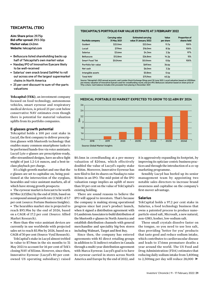# **TEKCAPITAL (TEK)**

**Aim: Share price:** 29.75p **Bid-offer spread:** 29.5-30p **Market value:** £42mn **Website:**tekcapital.com

- Belluscura listed shareholding backs up half of Tekcapital's own market value
- Nasdaq IPO of Innovative Eyecare likely to be well-received
- Salarius' own snack brand SaltMe! to roll out across one of the largest supermarket chains in North America
- 25 per cent discount to sum-of-the-parts valuations

**Tekcapital (TEK)**, an investment company focused on food technology, autonomous vehicles, smart eyewear and respiratory medical devices, is priced 25 per cent below conservative NAV estimates even though there is potential for material valuation uplifts from its portfolio companies.

# **E-glasses growth potential**

Tekcapital holds a 100 per cent stake in Lucyd, the first company to deliver prescription glasses with bluetooth technology that enables many common smartphone tasks to be performed hands-free via voice assistants. Lucyd Lyte e-glasses are prescription-ready, offer streamlined designs, have an ultra-light weight of just 1.2-1.4 ounces, and a best-inclass playback per charge.

It's a high-growth market and one that the e-glasses are set to capitalise on, being positioned at the intersection of the eyeglass, hearables and voice assistant markets, all of which have strong growth prospects:

• The eyewear market is forecast to be worth \$179bn (£132bn) by the end of 2026, based on a compound annual growth rate (CAGR) of 5.7 per cent (source: Fortune Business Insights).

• The hearables market size is projected to reach \$93.9bn by the end of 2026, based on a CAGR of 17.2 per cent (Source: Allied Market Research).

• More than 4bn voice assistant devices are currently in use worldwide with projected sales set to reach \$5.9bn by 2026, based on a CAGR of 30 per cent (Source: VynZ Research).

TekCapital's stake in Lucyd almost trebled in value to \$7.9mn in the six months to 31 May 2021 to account for 16 per cent of Tek's closing NAV of \$51mn. However, since then, Innovative Eyewear (Lucyd's 80 per centowned US operating subsidiary) raised

### **TEKCAPITAL'S PORTFOLIO FAIR VALUE ESTIMATE AT 3 FEBRUARY 2022**

| Portfolio company     | <b>Carrying value</b><br>31 May 2021 | <b>Estimated carrying</b><br>value 31 January 2022 | Value<br>per share | <b>Proportion of</b><br>shares held |
|-----------------------|--------------------------------------|----------------------------------------------------|--------------------|-------------------------------------|
| Guident               | \$22.0mn                             | \$22.0mn                                           | 11.7 <sub>p</sub>  | 100%                                |
| Lucyd                 | $$7.9$ mn                            | \$16,0mn                                           | 8.5 <sub>p</sub>   | 100%                                |
| <b>Salarius</b>       | \$3.6mn                              | \$4.3mn                                            | 2.3 <sub>p</sub>   | 97%                                 |
| <b>Belluscura</b>     | \$12.8mn                             | \$26.8mn                                           | 14.2p              | 15%                                 |
| <b>Smart Food Tek</b> | $$0.04$ mn                           | $$0.04$ mn                                         | 0.0 <sub>D</sub>   | 100%                                |
| Portfolio fair value  |                                      | \$69.1mn                                           | 36.6p              |                                     |
| Net cash              |                                      | \$6.0mn                                            | 3.2 <sub>p</sub>   |                                     |
| Intangible assets     |                                      | \$0.8 <sub>mn</sub>                                | 0.4 <sub>p</sub>   |                                     |
| <b>Total NAV</b>      |                                      | \$75.9mn                                           | 40.2 <sub>D</sub>  |                                     |

Source: Tekcapital's 2021 annual accounts, and London Stock Exchange filings post 30 June 2021. Lucyd valuation based on US\$20mr<br>pre-money valuation of Innovative Eyecare used for crowdfunding round, and pre-IPO. Belluscur



**MEDICAL PORTABLE 02 MARKET EXPECTED TO GROW TO \$2.4BN BY 2024**

\$0.5mn in crowdfunding at a pre-money valuation of \$20mn, which effectively doubled the value of Lucyd's equity stake to \$16m. Moreover, Innovative Eyewear has now filed to list its shares on Nasdaq to raise \$15mn in an IPO. The mid-point of the IPO valuation range implies an uplift of more than 50 per cent on the value of TekCapital's existing holding.

There are sound reasons to believe the IPO will appeal to investors. That's because the company is making strong operational progress since last year's product launch, when it signed a distribution agreement with DLandstromAssociates to build distribution of the bluetooth e-glasses in North America and establish distribution channels with general merchandise and speciality big-box stores including Walmart, Target and Best Buy.

Since then, the company has entered agreements with 85 direct retailing groups in addition to 31 indirect retailers in Canada through a multi-year distribution agreement with Marca Eyewear. Lucyd's goal is to have its eyewear carried in stores across North America and Europe by the end of 2022, and it is aggressively expanding its footprint, by improving its optician-centric business practices and through the introduction of a co-op marketing programme.

Sensibly Lucyd has beefed up its senior management team by appointing two notable sales directors to increase brand awareness and capitalise on the company's first-mover advantage.

# **Salarius**

TekCapital holds a 97.2 per cent stake in Salarius, a food technology business that owns a patented process to produce nanoparticle-sized salt, Microsalt, a new natural, non-GMO, kosher, low-sodium salt.

These small crystals dissolve faster on the tongue, so you need to use less salt, thus providing 'better for you' products that taste good and reduce sodium intake, which contributes to cardiovascular disease and leads to 17.6mn premature deaths a year around the world. The US Food and Drug Administration (FDA) estimates that reducing daily sodium intake from 3,400mg to 2,300mg per day will reduce 28,000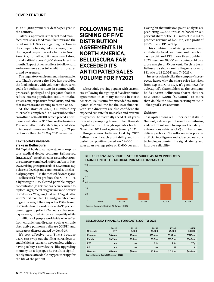$\triangleright$  to 50,000 premature deaths per year in the country.

Salarius' approach is to target food manufacturers, snack food manufacturers and the retail market. Sales are gaining traction as the company has signed up Kroger, one of the largest supermarket chains in North America, to roll out its own snack-food brand SaltMe! across 1,800 stores later this month. Expect other retailers to follow suit, and ecommerce sales to benefit from greater brand awareness.

The regulatory environment is favourable, too. That's because the FDA has provided the food industry with voluntary short-term goals for sodium content in commercially processed, packaged and prepared foods to reduce excess population sodium intake. This is a major positive for Salarius, and one that investors are starting to cotton on to.

At the start of 2022, US subsidiary Microsalt completed an oversubscribed crowdfund of \$750,000, which placed a postmoney valuation of \$5.75mn on the business. This means that TekCapital's 76 per cent stake in Microsalt is now worth \$4.37mn, or 21 per cent more than the 31 May 2021 valuation.

# **TekCapital's valuable stake in Belluscura**

TekCapital holds a valuable stake in respiratory medical device company **Belluscura (BELL:117p)**. Established in December 2015, the company completed its IPO on Aim in May 2021, raising gross proceeds of £17.5mn at  $45p$ a share to develop and commercialise intellectual property (IP) in the medical devices space.

Belluscura's first product, the X-PLO₂R, is a lightweight FDA-cleared portable oxygen concentrator (POC) that has been designed to replace larger, metal oxygen tanks and heavier POC devices. Weighing less than 1.5kg, it is the world's first modular POC and generates more oxygen by weight than any other FDA-cleared POCin its class. It can deliver up to 95 per cent pure oxygen to patients 24 hours a day, seven days a week, to help improve the quality of life for millions of people worldwide who suffer from chronic lung diseases, such as chronic obstructive pulmonary disease (COPD) and respiratory distress caused by Covid-19.

It's cost-effective, too. That's because users can swap out the filter cartridges to enable higher-capacity oxygen flow without having to buy a new device; like upgrading memory on a laptop. The result is significantly more affordable oxygen therapy for the life of the patient.

# **FOLLOWING THE SIGNING OF FIVE DISTRIBUTION AGREEMENTS IN NORTH AMERICA, BELLUSCURA FAR EXCEEDED ITS ANTICIPATED SALES VOLUME FOR FY2021**

It's certainly proving popular with customers. Following the signing of five distribution agreements in as many months in North America, Belluscura far exceeded its anticipated sales volume for the 2021 financial year. The directors are also confident the expected run rate for unit sales and revenue this year will be materially ahead of last year's forecasts, prompting house broker Dowgate Capital to push through upgrades both in November 2021 and again in January 2022.

Dowgate now believes that by 2023 Belluscura will reach profitability and turn cash-flow positive based on 14,000 unit sales at an average price of \$1,600 per unit.

Having hit that inflexion point, analysts are predicting 25,000 unit sales based on a 5 per cent share of the POC market in 2024 to produce revenue of \$55.1mn, cash profit of \$13.7mn and EPS of 7.5p.

This combination of rising revenue and a relatively fixed cost base could see both cash profit and EPS more than double in 2025 based on 50,000 units being sold on a gross margin of 50 per cent. On th is basis, Belluscura's shares are trading on a forward PE ratio of 15 (2024) and 7 (2025).

Investors clearly like the company's prospects, hence why the share price has risen from 45p at IPO to 117p. It's good news for TekCapital's shareholders as the company holds 17.1mn Belluscura shares that are now worth £20m (\$26.8mn), or more than double the \$12.8mn carrying value in TekCapital's last accounts.

# **Guident**

TekCapital owns a 100 per cent stake in Guident, a developer of remote monitoring and control software to improve the safety of autonomous vehicles (AV) and land-based delivery robots. The software incorporates artificial intelligence and advanced network technologies to minimize signal latency and improve reliability.



### **BELLUSCURA FINANCIAL FORECASTS 2021 TO 2025**

|                                           | 2021E     | 2022E          | 2023E               | 2024E                | 2025E             |  |  |  |
|-------------------------------------------|-----------|----------------|---------------------|----------------------|-------------------|--|--|--|
| Units sold                                | 377       | 4.000          | 14.000              | 25,000               | 50,000            |  |  |  |
| Revenue                                   | $$0.4$ mn | $$5.4$ mn      | \$23.6mn            | \$55.1mn             | \$111.9mn         |  |  |  |
| Ebitda                                    | -\$4.2mn  | $-$ \$5.5 $mn$ | \$1.2 <sub>mn</sub> | \$13.7 <sub>mn</sub> | \$34.0mn          |  |  |  |
| <b>EPS</b>                                | na        | na             | 0.1 <sub>p</sub>    | 7.5p                 | 17.0 <sub>p</sub> |  |  |  |
| PE                                        | na        | na             | na                  | 18                   | 8                 |  |  |  |
| Net cash                                  | \$15.6mn  | \$7.0mn        | $$5.5$ mn           | \$17.2mn             | \$44.9mn          |  |  |  |
| Source: Dowgate Capital (24 January 2022) |           |                |                     |                      |                   |  |  |  |

Source: Dowgate Capital (24 January 2022)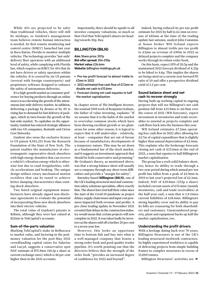While AVs are projected to be safer than traditional vehicles, there will still be mishaps, so Guident's management team believes remote human interaction is needed. Its first remote monitoring and control centre (RMCC) launched last year in Boca Raton, Florida to monitor multiple vehicles. The technology provides'last-mile' delivery fleet operators with an additional level of safety, while complying with Florida law, which requires an RMCC for AVs that do not have drivers or safety operators within the vehicles. It is covered by six US patents (several with foreign counterparts) and proprietary software designed to enhance the safety of autonomous deliveries.

It's a high-growth market as consumer preference for buying products through an online source is accelerating the growth of the autonomous last-mile delivery market. In addition, delivering a package by drones or by AV is rising due to demand for fast delivery of packages, which in turn boosts the growth of the last-mile market. To capitalise on the opportunity,Guident has entered strategic alliances with two US companies, Bestmile and Cirrus Core Networks.

Guident also owns the exclusive licence to US patent 8,941,251 from the Research Foundation of the State of New York. The patent enables the manufacture of electromagnetic regenerative shock absorbers with high energy densities that can recover a vehicle's vibration energy which is otherwise lost due to road irregularities, vehicle accelerations and braking. The unique design utilises rotary mechanical motion rectifiers that can be tuned to achieve better damping characteristics than existing shock absorbers.

Two listed original equipment manufacturers have already signed non-disclosure agreements to evaluate the potential of incorporating these new shock absorbers into their electric vehicles.

The total value of Guident's patents is \$28mn, although they were last valued at \$22mn in TekCapital's accounts.

### **Sum-of-the-parts valuation**

Marking TekCapital's stake in Belluscura to market value, and factoring in the postmoney valuation for the post-May 2021 crowdfunding capital raises for Salarius and Lucyd, suggests a conservative spot NAV estimate of \$75.9mn (40.2p a share at current exchange rates) which is 48 per cent higher than in the 2021 accounts.

Importantly, there should be upside to all investee company valuations, so much so that I feel that TekCapital's shares are heading towards 50p. Buy.

# **BILLINGTON (BILN)**

**Aim:** Share price: 207p **Bid-offer spread:** 204-210p **Market value:** £26.6mn **Website:** billington-holdings.plc.uk

- Pre-tax profit forecast to almost treble to £3mn in 2022
- 2022 estimated free cash flow of £7.2mn to double net cash to £13.6mn
- Forecast closing net cash equates to half the market capitalisation

In chapter seven of *The Intelligent Investor*, the seminal 1949 work of Benjamin Graham, the father of value investing, explains: "If we assume that it is the habit of the market to overvalue common stocks which have been showing excellent growth or are glamorous for some other reason, it is logical to expect that it will undervalue – relatively, at least – companies that are out of favour because of unsatisfactory developments of a temporary nature. This may be set down as a fundamental law of the stock market, and it suggests an investment approach that should be both conservative and promising." Mr Graham's theory, as mentioned above, was that a strong balance sheet will usually see a company through any short-term difficulties and provide a "margin for safety".

Barnsley-based **Billington (BILN)**, one of the UK's leading structural steel and construction safety solutions specialists, offers exactly that. The shares have lost half their value since the start of the Covid-19 pandemic as project delays, supply chain issues and input cost pressures impacted both revenue and profits. A pre-close trading update in November 2021 revealed that delays in the construction industrywould mean that certain projects will now complete in 2022. It was taken badly by investors as the shares sold off a further 20 per cent to a seven-year low.

However, this looks an opportune time to bottom fish and buy into what is a well-managed company that boasts a strong order book and good quality tender pipeline. It's worth pointing out that the directors believe that the strength of the order book "provides an increased degree of confidence for 2022 and beyond".

Indeed, having reduced its pre-tax profit estimate for 2021 by half to £1.1mn on revenue of £82mn at the time of the trading update last autumn, analyst John Cummins at house broker WH Ireland expects Billington to almost treble pre-tax profit to £3mn on revenue of £90m in 2022 as delayed projects complete and the company works through its robust order book.

On this basis, expect EPS of 20.3p and the maintained 2021 forecast dividend of 4.25p to be hiked to 4.6p. This implies the shares are being rated on a current-year forward PE ratio of 10 and offer a prospective dividend yield of 2.2 per cent.

# **Sound balance sheet and net cash to recover strongly**

Having built up working capital in ongoing projects that will see Billington's net cash position fall from £13.9mn to £6.9mn over the course of 2021 (WH forecasts), expect investment in inventories and trade receivables to unwind as projects complete and cash flows back into the business this year.

WH Ireland estimates £7.2mn operating free cash flow in 2022 after allowing for £2.7m of capital expenditure that is slightly higher than annual depreciation of £2.4mn. This explains why the brokerage forecasts closing net cash of £13.6mn at the end of 2022, a sum that equates to half Billington's market capitalisation.

The group has a rock-solid balance sheet, too, hence its ability to trade through a two-year period during which annual pre-tax profit has fallen from a peak of £5.9mn in 2019 to last year's projected low of £1.1mn. Indeed, NAV of £29.8mn (232p a share) included current assets of £33.4mn (mainly inventories, cash and trade receivables) at the half-year-end, a sum that is 1.8 times current liabilities of £18.4mn. Billington's strong liquidity cover and its ability to pay its bills are reassuring for both shareholders and customers. Unencumbered property, plant and equipment backs up half the market capitalisation, too.

# **Understanding the profit drivers**

With a heritage dating back over 70 years, Billington Structures is one of the UK's leading structural steelwork contractors. Its highly experienced workforce is capable of delivering projects from simple building frames to complex structures in excess of 15,000 tonnes.

Billington Structures' activities are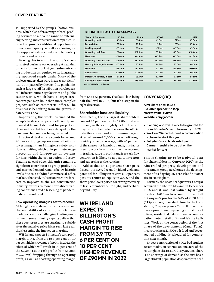supported by the group's Shafton business, which also offers a range of steel profiling services to a diverse range of external engineering and construction companies. In turn, this provides additional opportunities to increase capacity as well as allowing for the supply of value-added, complementary products and services.

Bearing this in mind, the group's structural steel business was operating at near-full capacity for much of last year, sub-contracting production as required to its longstanding, approved supply chain. Many of the projects undertakenwere in areas not significantly impacted by the Covid-19 pandemic, such as large retail distribution warehouses, rail infrastructure, Gigafactories and public sector works, which have a larger steel content per man hour than more complex projects such as commercial offices. The business is benefiting from the growth in datacentres, too.

Importantly, this work has enabled the group's facilities to operate efficiently and primed it to meet demand for projects in other sectors that had been delayed by the pandemic but are now being restarted.

Structural steel work accounts for around 90 per cent of group revenue, albeit at a lower margin than Billington's safety solutions activities, which offer perimeter-edge protection and fall-prevention systems for hire within the construction industry. Trading as easi-edge, this unit remains a significant contributor to group profit, but end-market demand remains below historic levels due to a subdued commercial office market. That said, utilisation rates are forecast to improve as the UK construction industry returns to more normalised trading conditions amid a lessening of pandemic-driven constraints.

# **Low operating margins set to recover**

Although raw material price increases and the availability of certain products have made for a more challenging trading environment, some industry experts believe that these cost pressures are starting to subside after the massive price hikes seen last year, thus lessening the impact on margins.

WH Ireland expects Billington's cash profit margin to rise from 3.9 to 6 per cent on 10 per cent higher revenue of £90m in 2022, the effect of which will result in 90 per cent of the £2.2mn rise in cash profit (from £3.2mn to £5.4mn) dropping through to operating profit, as well as boosting operating margin

# **BILLINGTON CASH FLOW SUMMARY**

| <b>Year to 31 December</b>   | 2018A      | 2019A      | 2020A      | 2021E      | 2022E      |
|------------------------------|------------|------------|------------|------------|------------|
| Operating profit             | $£5.1$ mn  | $£6.0$ mn  | $£1.8$ mn  | $£1.1$ mn  | $£3.0$ mn  |
| Depreciation                 | $£1.5$ mn  | $£1.8$ mn  | $£1.9$ mn  | $£2.1$ mn  | $£2.4$ mn  |
| Working capital              | $-£0.9$ mn | $£5.4$ mn  | $-E3.1$ mn | $-E7.0$ mn | £5.0mn     |
| Operating cash flow          | $£5.4$ mn  | $£12.9$ mn | $£0.4$ mn  | $-E3.8$ mn | $£10.4$ mn |
| Net capex                    | $-E2.0$ mn | $-f1.8$ mn | $-f2.2$ mn | $-E2.5$ mn | $-E2.7$ mn |
| Operating free cash flow     | $£2.6$ mn  | $£10.2$ mn | $-f2.6$ mn | $-£6.5$ mn | $£7.2$ mn  |
| Net acquisiitons/sale assets | $£0.3$ mn  | $£0.3$ mn  | $£0.3$ mn  | $£0.0$ mn  | $£0.0$ mn  |
| <b>Dividends</b>             | $-f1.4$ mn | $-f1.6$ mn | $£0.0$ mn  | $-£0.5$ mn | $-£0.5$ mn |
| Share issues                 | £0.0mn     | £0.0mn     | $£0.0$ mn  | $£0.0$ mn  | $£0.0$ mn  |
| Increase/(decrease) in cash  | $£1.2$ mn  | $£8.5$ mn  | $-E2.7$ mn | $-E7.3$ mn | £6.5mn     |
| Closing net cash/(debt)      | £7.6mn     | £16.4mn    | £13.9mn    | $£6.9$ mn  | £13.6mn    |
| Source: WH Ireland estimates |            |            |            |            |            |

from 1.4 to 3.3 per cent. That's still low, being half the level in 2018, but it's a step in the right direction.

# **Shareholder base and liquidity**

Admittedly, the six largest shareholders control 73 per cent of the 12.86mn shares in issue, so they are tightly held. However, they can still be traded between the official bid-offer spread and in minimum bargain sizes of around 2,000 shares. Although liquidity is below average, with 43 per cent of the shares not in public hands, this factor is set to work in our favour as the rebound in trading, surge in profits and free cash flow generation is likely to appeal to investors and supercharge the rerating.

Add to that an 11 per cent share price discount to NAV, decent dividend yield and potential for Billington to earn a 10 per cent post-tax return on equity in 2022, and the share price looks poised for strong recovery to last September's 300p highs, and perhaps beyond. Buy.

**WH IRELAND EXPECTS BILLINGTON'S CASH PROFIT MARGIN TO RISE FROM 3.9 TO 6 PER CENT ON 10 PER CENT HIGHER REVENUE OF £90MN IN 2022**

# **CONYGAR (CIC)**

**Aim:** Share price: 164.5p **Bid-offer spread:** 162-167p **Market value:** £98mn **Website:** conygar.com

- Planning approval likely to be granted for Island Quarter's next phase early in 2022
- Work on 702-bed student accommodation scheme to start this year
- Fully-let Cross Hands retail park in Carmarthenshire to be put on the market for sale

This is shaping up to be a pivotal year for shareholders in **Conygar (CIC)** as the Aim-traded property development and investment group accelerates the development of its flagship 36-acre Island Quarter site in Nottingham.

Formerly the Boots headquarters, Conygar acquired the site for £13.5mn in December 2016 and it was last valued by Knight Frank at £70.5mn to account for over half of Conygar's pro-forma NAV of £128.4mn (215p a share). Located close to the train station, Conygar plans a 2m sq ft mixed-use development encompassing a mixture of offices, residential flats, student accommodation, hotel, retail units and leisure facilities. Work on the construction of the first phase of the development (Canal Turn), incorporating a 21,500 sq ft food and beverage-led building, is scheduled for completion next month.

Expect construction of a 702-bed student accommodation scheme on one acre of the Nottingham site to start this year, too. There is no shortage of demand as the city has a large student population desperately in need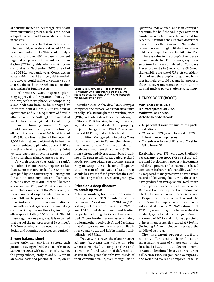of housing. In fact, students regularly bus in from surrounding towns, such is the lack of adequate accommodation available to them in the city.

Chief executive Robert Ware believes the scheme could generate a rent roll of £5.7mn based on market rents. This would imply a valuation of around £90mn based on current regional purpose-built student accommodation (PBSA) yields when construction completes in September 2023 ahead of the 2023-24 academic year. Construction costs of £54mn will be largely debt-funded, so Conygar could make a £30mn (60p a share) gain on the PBSA scheme alone after accounting for funding costs.

Furthermore, Ware expects planning approval to be granted shortly for the project's next phase, encompassing a 223-bedroom hotel to be managed by InterContinental Hotels, 247 residential apartments and 3,000 sq metres of flexible office space. The Nottingham residential market has been a regional hot spot during the current housing boom, so Conygar should have no difficulty securing funding offers for the first phase of 247 build-to-rent (BTR) flats, a tiny fraction of the potential 3,500 flats that could ultimately be built on the site, subject to planning approval. Ware is actively looking at debt funding, joint venture partners or selling assets to fund the Nottingham Island Quarter project.

It's worth noting that Knight Frank's valuation of Island Quarter equates to less than £2mn per acre, or half the £4mn per acre paid by the University of Nottingham for a nine-acre city centre office site, currently used by HMRC, that will become a new campus. Conygar's PBSA scheme only accounts for one acre of the 36-acre site, so there is material scope for additional valuation uplifts as the project develops.

For instance, the directors are in discussions with several organisations about taking commercial space on the site, including office space totalling 250,000 sq ft. Should these negotiations progress, it is expected that part of the net proceeds of December's £10.7mn placing will be used to fund the design and planning processes as required.

# **Strong balance sheet**

Importantly, Conygar is in a strong cash position. Having ended the six months to 30 September 2021 with net cash of £13.7mn, the group subsequently raised £10.7mn in an oversubscribed placing at 150p, on 17



Canal Turn: A new, canal-side destination for Nottingham with restaurants, bars and events space led by 2018 *MasterChef The Professionals* winner, Laurence Henry

December 2021. A few days later, Conygar completed the disposal of its industrial units in Selly Oak, Birmingham to **Watkin Jones (WJG)**, a leading developer specialising in PBSA and BTR housing, having previously agreed a conditional sale of the property, subject to change of use to PBSA. The disposal realised £7.17mn, or double book value.

In addition, Conygar plans to put its Cross Hands retail park in Carmarthenshire on the market for sale. It is fully occupied and produces annual rental income of £1.38mn from a strong and diverse tenant base including Lidl, B&M Retail, Costa Coffee, Iceland Foods, Domino's Pizza, Pets at Home, Burger King and Snap Fitness. The rentroll equates to 7.7 per cent of book value of £17.7mn. It should be easy to offload given that the retail warehousing market is recovering strongly.

# **Priced on a deep discount to break-up value**

After accounting for investments made in projects since 30 September 2021, my pro-forma NAV estimate of £128.4mn (215p a share) includes pro-forma cash of £24.7mn and £34.5mn of development and trading property, including the Cross Hands retail park. Factor in other current assets (mainly trade and other receivables), and I estimate that Conygar's current assets less all liabilities equate to around half its market capitalisation of £98mn.

Effectively, this leaves the Island Quarter scheme (£70.5mn last valuation, plus £6mn earmarked to complete the Canal Turn phase) and £2.9mn of deferred tax assets in the price for only two-thirds of their combined value, even though Island Quarter's undeveloped land is in Conygar's accounts for half the value per acre that similar nearby land parcels have sold for recently. Assuming the directors do further deals to unlock the value in the Nottingham project, as seems highly likely, then shareholders can expect substantial hikes in NAV.

There is value in the group's other development assets, too. For instance, key infrastructure has now completed at Conygar's Haverfordwest site (book value £8.6mn), thus enabling the sale of 729 plots of residential land; and the group's strategic land holdings in Anglesey could become hot property if the UK government presses the button on its mini-nuclear power station strategy. Buy.

# **HENRY BOOT (BOOT)**

**Main: Share price:** 283p **Bid-offer spread:** 281-285p **Market value:** £377mn **Website:** henryboot.co.uk

- 40 per cent discount to sum-of-the-parts valuations
- 39 per cent EPS growth forecast in 2022 following recent upgrades
- Current-year forward PE ratio of 11 set to fall to below 10

Established over 135 years ago, Sheffieldbased **Henry Boot (BOOT)** is one of the leading land development, property investment and development, and construction-based companies in the UK. It'sincrediblywell-run by respected management who have a track record of delivering, hence why the shares have produced an average annual total return of 12.4 per cent over the past two decades. Reinvest the income, and the holding has effectively doubled in value every six years.

Despite the impressive track record, the group's market capitalisation is at parity with analysts' end-2022 NAV estimates of £375mn, even though the balance sheet is modestly geared – net borrowings of £44mn at the end of 2021 – and includes a portfolio of investment properties valued at £106mn (including £12mn in joint ventures) as of the middle of last year.

The investment property portfolio not only offers upside – it produced an investment return of 6.7 per cent in the first half of 2021 – but a decent income stream underpinned by a 96 per cent rent collection rate, 88 per cent occupancy and weighted average unexpired lease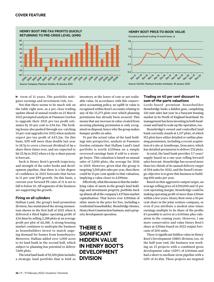**HENRY BOOT PRE-TAX PROFITS QUICKLY RETURNING TO PRE-CRISIS LEVEL (£MN)**



**HENRY BOOT PRICE-TO-BOOK VALUE**

Forward price/book (rolling 12-month basis, x)



 $\blacktriangleright$  term of 11 years. The portfolio mitigates earnings and investment risk, too.

Not that there seems to be much risk on the table right now, as a pre-close trading update ahead of annual results on 23 March 2022 prompted analysts at Panmure Gordon to upgrade their 2021 pre-tax profit estimates by 10 per cent to £34.1m. The broking house also pushed through eye-catching 14 per cent upgrades for 2022 when analysts expect pre-tax profit of £43.2m. On this basis, EPS will more than double last year to 18.7p to cover a forecast dividend of 6p a share three times over, and are expected to hit 25.9p in 2022 when a 6.5p-a-share payout is forecast.

Such is Henry Boot's growth trajectory, and strength of the order books and development pipeline, that there is a fair degree of confidence in 2023 forecasts that factor in 11 per cent EPS growth. On this basis, a current-year forward PE ratio of 11 is set to fall to below 10. All segments of the business are supporting the growth.

# **Firing on all cylinders**

Hallam Land, the group's land promotion division, has maintained the strong momentum shown in the first half of 2021 when it delivered a third higher operating profit of £14.8mn by selling 2,288 plots at an average profit per plot of £6,188. A strong housing market continues to underpin the business as housebuilders invest to match ongoing demand for homes from homebuyers. Moreover, Hallam added over 1,000 acres to its land bank in the second half, which subject to planning has potential to deliver 7,600 plots.

The total land bank of 92,500 plots includes a strategic land portfolio that is held as

inventory at the lower of cost or net realisable value. In accordance with this conservative accounting policy, no uplift in value is recognised within Boot's accounts relating to any of the 13,273 plots over which planning permission has already been secured. This means that any increase in value created from securing planning permission is only recognised on disposal, hence why the groupmakes bumper profits on sales.

To put the actual value of the land holdings into perspective, analysts at Panmure Gordon estimate that Hallam Land's land portfolio is worth £250mn on a simple recovered earnings basis if sold to a strategic buyer. This valuation is based on annual sales of 3,000 plots, the average for 2016 to 2019. However, given that the group is targeting 3,500 plot sales per year, then there could be 15 per cent upside to that valuation, implying a value closer to £290mn.

Effectively,what thismeansis that the underlying value of assets in the group's land holdings and investment property portfolio back up almost all of the company's £375mn market capitalisation. That leaves over £300mn of other assets in the price for free, including a residential housebuilder, Stonebridge Homes, Henry Boot Construction business, and a property development operation.

# **THERE IS SIGNIFICANT HIDDEN VALUE IN HENRY BOOT'S DEVELOPMENT DIVISION**

# **Trading on 40 per cent discount to sum-of-the-parts valuations**

Leeds-based premium housebuilder Stonebridge looks a hidden gem, completing 120 unit sales last year in a buoyant housing market in its North of England heartland. Its management has been investing in both headcount and land to scale up the operation, too.

Stonebridge's owned and controlled land bank currently stands at 1,157 plots, of which 912 plots have either detailed or outline planning permission, including a recent acquisition of a site at Armthorpe, Doncaster, which has detailed permission to deliver 232 plots.

In total, the land bank provides 5.7 years' supply based on a one-year rolling forward sales forecast. Stonebridge has secured more than two-thirds of its annual delivery target of 204 units for 2022, and the board's strategic objective is to growthis business to building 600 units per year.

Based on that aggressive output target, an average selling price of £350,000 and 15 per cent operating margin, Stonebridge could be making operating profit of more than £30mn within a few years. Henry Boot owns a 50 per cent share in the joint venture company, so even if you attribute a modest nine times earnings multiple to its share of the profits it's possible to arrive at a £140mn-plus valuation in the coming years. However, I am more conservative and value Henry Boot's share at £50mn based on 2022 output forecasts of 204 units.

There is significant hidden value in Henry Boot's Development (HBD) division, too. At the half-year-end, the business was working on 13 projects with a combined gross development value (GDV) of £444mn and had a short to medium-term pipeline with a GDV of £1.4bn. These projects are targeted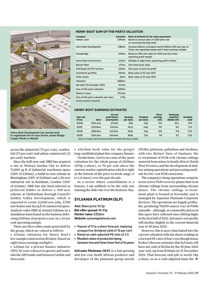

Henry Boot Development has started work to regenerate the 44-acre former James Bridge Copper Works in Walsall

across the industrial (72 per cent), residential (17 per cent) and urban commercial (11 per cent) markets.

Since the half-year end, HBD has acquired a site in Welwyn Garden City to deliver 71,000 sq ft of industrial warehouse space (GDV of £20mn), a build-to-rent scheme in Birmingham (GDV of £110mn) and a 20-acre industrial site in Rainham, London (GDV of £24mn). HBD has also been selected as preferred bidder to deliver a 200-acre scheme at Cheltenham Borough Council's Golden Valley Development, which is expected to create 12,000 new jobs, 3,700 new homes and 2m sq ft of commercial space. Analysts value HBD at around £182mn on a standalone basis based on the business delivering £200mn of projects a year on a 10 per cent operating margin.

There are three other main assets held by the group, which are valued as follows:

• £24mn valuation for Henry Boot's low-margin construction division (based on eight times earnings multiple).

• £20mn for a private finance initiative (PFI) 30-year contract to operate and maintain the A69 trunk road between Carlisle and Newcastle.

# **HENRY BOOT SUM-OF-THE-PARTS VALUATION**

| Company                              | <b>Valuation</b> | Basis of estimate for fair value assessment                                                                             |
|--------------------------------------|------------------|-------------------------------------------------------------------------------------------------------------------------|
| <b>Hallam Land</b>                   | £290mn           | Based on annual sales of 3,500 plots and<br>on recovered earnings basis                                                 |
| Henry Boot Development               | $£182$ mn        | Assumes delivery of projects worth £200mn GDV per year on<br>10 per cent operating margin and 9 times earnings multiple |
| Stonebridge                          | £50mn            | Based on 200 units sales for 2022 and nine times<br>operating profit margin                                             |
| <b>Henry Boot Construction</b>       | £24mn            | Multiple of eight times operating profit of £3mn                                                                        |
| <b>Banner Plant</b>                  | $£17$ mn         | One times book value                                                                                                    |
| A69 Road Link PFI contract           | £20mn            | Five years of post tax profit                                                                                           |
| Investment portfolio                 | £94mn            | Book value at 30 June 2021                                                                                              |
| Other assets                         | £6mn             | Book value at 30 June 2022                                                                                              |
| Valuation                            | £683mn           |                                                                                                                         |
| Net debt (31 December 2021)          | $f44$ mn         |                                                                                                                         |
| Sum-of-the-parts valuation           | £639mn           |                                                                                                                         |
| Shares in issue                      | $133.3$ mn       |                                                                                                                         |
| Sum-of-the-parts valuation per share | 479 <sub>p</sub> |                                                                                                                         |
| Source: Investors' Chronicle         |                  |                                                                                                                         |

# **HENRY BOOT EARNINGS ESTIMATES**

| Year end<br>31 Dec | <b>Sales</b> | Pre-tax<br>profit before<br>amortisation | <b>Earnings</b><br>per share | <b>Dividend</b><br>per share | Price/<br>earnings<br>ratio | <b>Enterprise</b><br>valuation/<br>Ebitda ratio | <b>Dividend</b><br>yield |
|--------------------|--------------|------------------------------------------|------------------------------|------------------------------|-----------------------------|-------------------------------------------------|--------------------------|
| 2020A              | £222.4mn     | $£17.1$ mn                               | 8.9 <sub>D</sub>             | 5.5 <sub>D</sub>             | 31.9                        | 20.4                                            | 1.9%                     |
| 2021E              | £232.8mn     | £34.1mn                                  | 18.7 <sub>D</sub>            | 6.0 <sub>D</sub>             | 15.1                        | 16.1                                            | 2.1%                     |
| 2022E              | £285.0mn     | £43.2mn                                  | 25.9 <sub>D</sub>            | 6.5 <sub>D</sub>             | 10.9                        | 11.8                                            | 2.3%                     |
| 2023E              | £354.2mn     | £50.4mn                                  | 28.9 <sub>p</sub>            | 7.0 <sub>D</sub>             | 9.8                         | 8.7                                             | 2.5%                     |
|                    |              |                                          |                              |                              |                             |                                                 |                          |

Source: Company data, Panmure Gordon estimates (18 January 2022)

• £16.8mn book value for the group's long-established plant hire company Banner.

On this basis, I arrive at a sum-of-the-parts valuation for the whole group of £639mn (479p a share), or 70 per cent above the current market capitalisation which is right at the bottom of the price-to-book range (1 to 1.4 times) over the past decade.

In a sector where consolidation is a feature, I am unlikely to be the only one running the slide rule over the business. Buy.

# **SYLVANIA PLATINUM (SLP)**

**Aim:** Share price: 92.5p **Bid-offer spread:** 92-93p **Market value:** £252mn **Website:** sylvaniaplatinum.com

- Payout of 9.7p a share forecast, implying prospective dividend yield of 10 per cent
- Rated on cash-adjusted PE ratio of 2.5
- Rhodium share of production being between two and three times that of its peers

**Sylvania Platinum (SLP)** is a fast-growing and low-cost South African producer and developer of the platinum group metals

(PGMs) platinum, palladium and rhodium, with two distinct lines of business: the re-treatment of PGM-rich chrome tailings material from mines in South Africa's North West Province; and the development of shallow mining operations and processing methods for low-cost PGM extraction.

The company's dump operations comprise seven active PGM recovery plants that treat chrome tailings from surrounding chrome mines. The chrome tailings re-treatment plant is located at Kroondal, and is managed by Aquarius Platinum Corporate Services. The operations are hugely profitable, producing 70,000 ounces (oz) of PGMs annually – although, as commodity prices in this space have softened since hitting highs in the first half of 2021, Sylvania's own profits will decline slightly in the current financial year to 30 June 2022.

However, this is more than baked into the current valuation with the shares trading on a forward PE ratio of four even though house broker Liberum estimates that Sylvania will have net cash of \$125m by the 30 June 2022 year-end, up from \$110mn on 31 December 2021. That forecast cash pile is worth 34p a share, so on a cash-adjusted basis the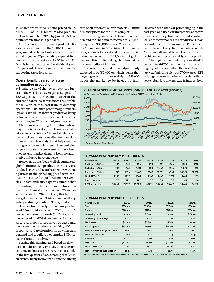# **COVER FEATURE**

shares are effectively being priced on 2.5 times EPS of 33.1¢. Liberum also predicts that cash could hit \$217m by June 2023, too, a sum worth almost 60p a share.

Furthermore, after Sylvania paid out 7.8p a share of dividends in the 2020-21 financial year, analysts at house broker Liberumexpect a total payout of 9.7p (including a special dividend) for the current year to 30 June 2022. On this basis, the prospective dividend yield is 10 per cent. There are sound fundamentals supporting these forecasts.

# **Operationally geared to higher automotive production**

Sylvania is one of the lowest-cost producers in the world – an average basket price of \$2,892 per oz in the second quarter of the current financial year was more than treble the \$862-an-oz cash cost from its dumping operations. The huge profit margin reflects Sylvania's rhodium share of production being between two and three times that of its peers, accounting for 57 per cent of group revenue.

Rhodium is a mining by-product whose major use is as a catalyst in three-way catalytic converters in cars. The metal is between two and three times more effective than platinum in the auto-catalyst and helps reduce nitrogen oxide emissions, so stricter emission targets imposed by governments have been buoying end-market demand from the automotive industry in recent years.

However, as has been well-documented, global automotive production rates were subdued last year due to the ongoing extreme tightness in the global supply of semi-conductors – a critical input for all modern vehicles. In fact, industry experts estimate that the waiting time for semi-conductor chips has more than doubled to over 25 weeks since the start of 2021. In turn, this has had a negative impact on PGM demand in all key auto-producing centres. The global automotive sector is likely to have only delivered 75mn light vehicles in 2021, down 15 per cent on pre-virus levels (2015-19), which has reduced total PGM demand by 2.4mn oz. As a result, spot prices have retreated and have remained subdued since May 2021 in response to deterioration in downstream demand and a build-up of surplus PGM for use in the auto-catalyst.

Bearing this in mind, and based on downstream industry activity, analysts at Liberum continue to forecast a recovery in chip supply in the first quarter of 2022, noting that "such an event is likely to prompt a lift in the buying rate of all automotive raw materials, lifting demand/prices for the PGM complex".

The broking house predicts auto-catalyst demand for rhodium to recover to 975,000 oz, up from 903,000 oz in 2021 and close to the 1m oz peak in 2019. Given that chemical, glass and electrical and other industrial industries account for 122,000 oz of global demand, this implies total global demand for the commodity of 1.1m oz.

The issue is that total mine output is only expected to be 750,000 oz, which means that recycling needs to hit a record high of 375,000 oz for the market to be in equilibrium. However, with used car prices surging in the past year, and used car inventories at record lows, scrap recycling volumes of rhodium will only recover once auto production recovers and inventories normalise. Forecasts of record levels of recycling may be too bullish. Any shortfall would be another positive for both the rhodium price and Sylvania's profits.

It's telling that the rhodium price rallied 18 per cent to \$16,750 per oz in the first five trading days of the year, albeit that is still well off last year's all-time high of \$27,000 an oz. ETF holdings have unwound to low levels and have yet to rebuild, so any increase in interest from



# **SYLVANIA PLATINUM KEY MODEL INPUTS**

| <b>Assumptions</b>    | 2017A  | 2018A  | 2019A  | 2020A  | 2021E  | 2022E  | 2023E  | 2024E  |
|-----------------------|--------|--------|--------|--------|--------|--------|--------|--------|
| Platinum (US\$/oz)    | 987    | 942    | 826    | 870    | 1.051  | 1.084  | 1.238  | 1.188  |
| Palladium (US\$/oz)   | 736    | 965    | 1.231  | 1.900  | 2.440  | 2.256  | 2.075  | 1,625  |
| Rhodium (US\$/oz)     | 821    | 1.626  | 2.662  | 7.068  | 18.891 | 16.569 | 20.375 | 18,750 |
| Gold (US\$/oz)        | 1.258  | 1.297  | 1.263  | 1.562  | 1.848  | 1.751  | 1.633  | 1,633  |
| Rand:US dollar        | 13.6   | 12.9   | 14.2   | 15.7   | 15.4   | 15.3   | 16.1   | 16.6   |
| <b>PGM</b> production | 70.869 | 71.027 | 72.089 | 69.026 | 70.044 | 70.427 | 78.610 | 78.610 |

# **SYLVANIA PLATINUM PROFIT FORECASTS**

| Year to 31 Dec                   | 2021A            | 2022E               | 2023E               | 2024E               |
|----------------------------------|------------------|---------------------|---------------------|---------------------|
| <b>Sales</b>                     | \$208mn          | $$205$ mn           | \$215mn             | \$204mn             |
| Ebitda                           | \$148mn          | $$137$ mn           | \$147 <sub>mn</sub> | \$134mn             |
| Operating profit                 | $$142$ mn        | $$131$ mn           | $$141$ mn           | \$128mn             |
| Operating profit margin          | 68.3%            | 64.1%               | 65.8%               | 62.8%               |
| Net interest                     | $$1.9$ mn        | \$3.8 <sub>mn</sub> | \$5.3 <sub>mn</sub> | \$8.6mn             |
| Pre-tax profit                   | \$144mn          | \$135mn             | \$147 <sub>mn</sub> | \$137 <sub>mn</sub> |
| Fully diluted earnings per share | 36.8c            | 33.1c               | 36.5c               | 33.0c               |
| Dividend per share               | 7.8 <sub>p</sub> | 9.7 <sub>p</sub>    | 7.0 <sub>p</sub>    | 8.0 <sub>p</sub>    |
| Leverage                         | 2021A            | 2022E               | 2023E               | 2024E               |
| Net cash                         | \$106mn          | \$125mn             | \$217mn             | \$290mn             |
| Net cash/EBITDA                  | 71.6%            | 91.2%               | 147.6%              | 216.4%              |
| Net cash/Market capitalisation   | 31.1%            | 36.7%               | 63.7%               | 85.1%               |

Source: Liberum Capital, Bloomberg. All numbers are stated on a post-IFRS 16 basis (e.g. net debt includes finance leases)